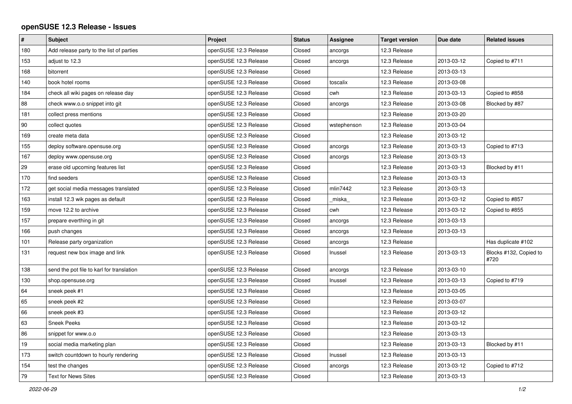## **openSUSE 12.3 Release - Issues**

| $\pmb{\#}$ | <b>Subject</b>                            | Project               | <b>Status</b> | Assignee    | <b>Target version</b> | Due date   | <b>Related issues</b>          |
|------------|-------------------------------------------|-----------------------|---------------|-------------|-----------------------|------------|--------------------------------|
| 180        | Add release party to the list of parties  | openSUSE 12.3 Release | Closed        | ancorgs     | 12.3 Release          |            |                                |
| 153        | adjust to 12.3                            | openSUSE 12.3 Release | Closed        | ancorgs     | 12.3 Release          | 2013-03-12 | Copied to #711                 |
| 168        | bitorrent                                 | openSUSE 12.3 Release | Closed        |             | 12.3 Release          | 2013-03-13 |                                |
| 140        | book hotel rooms                          | openSUSE 12.3 Release | Closed        | toscalix    | 12.3 Release          | 2013-03-08 |                                |
| 184        | check all wiki pages on release day       | openSUSE 12.3 Release | Closed        | cwh         | 12.3 Release          | 2013-03-13 | Copied to #858                 |
| 88         | check www.o.o snippet into git            | openSUSE 12.3 Release | Closed        | ancorgs     | 12.3 Release          | 2013-03-08 | Blocked by #87                 |
| 181        | collect press mentions                    | openSUSE 12.3 Release | Closed        |             | 12.3 Release          | 2013-03-20 |                                |
| 90         | collect quotes                            | openSUSE 12.3 Release | Closed        | wstephenson | 12.3 Release          | 2013-03-04 |                                |
| 169        | create meta data                          | openSUSE 12.3 Release | Closed        |             | 12.3 Release          | 2013-03-12 |                                |
| 155        | deploy software.opensuse.org              | openSUSE 12.3 Release | Closed        | ancorgs     | 12.3 Release          | 2013-03-13 | Copied to #713                 |
| 167        | deploy www.opensuse.org                   | openSUSE 12.3 Release | Closed        | ancorgs     | 12.3 Release          | 2013-03-13 |                                |
| 29         | erase old upcoming features list          | openSUSE 12.3 Release | Closed        |             | 12.3 Release          | 2013-03-13 | Blocked by #11                 |
| 170        | find seeders                              | openSUSE 12.3 Release | Closed        |             | 12.3 Release          | 2013-03-13 |                                |
| 172        | get social media messages translated      | openSUSE 12.3 Release | Closed        | mlin7442    | 12.3 Release          | 2013-03-13 |                                |
| 163        | install 12.3 wik pages as default         | openSUSE 12.3 Release | Closed        | _miska_     | 12.3 Release          | 2013-03-12 | Copied to #857                 |
| 159        | move 12.2 to archive                      | openSUSE 12.3 Release | Closed        | cwh         | 12.3 Release          | 2013-03-12 | Copied to #855                 |
| 157        | prepare everthing in git                  | openSUSE 12.3 Release | Closed        | ancorgs     | 12.3 Release          | 2013-03-13 |                                |
| 166        | push changes                              | openSUSE 12.3 Release | Closed        | ancorgs     | 12.3 Release          | 2013-03-13 |                                |
| 101        | Release party organization                | openSUSE 12.3 Release | Closed        | ancorgs     | 12.3 Release          |            | Has duplicate #102             |
| 131        | request new box image and link            | openSUSE 12.3 Release | Closed        | Inussel     | 12.3 Release          | 2013-03-13 | Blocks #132, Copied to<br>#720 |
| 138        | send the pot file to karl for translation | openSUSE 12.3 Release | Closed        | ancorgs     | 12.3 Release          | 2013-03-10 |                                |
| 130        | shop.opensuse.org                         | openSUSE 12.3 Release | Closed        | Inussel     | 12.3 Release          | 2013-03-13 | Copied to #719                 |
| 64         | sneek peek #1                             | openSUSE 12.3 Release | Closed        |             | 12.3 Release          | 2013-03-05 |                                |
| 65         | sneek peek #2                             | openSUSE 12.3 Release | Closed        |             | 12.3 Release          | 2013-03-07 |                                |
| 66         | sneek peek #3                             | openSUSE 12.3 Release | Closed        |             | 12.3 Release          | 2013-03-12 |                                |
| 63         | <b>Sneek Peeks</b>                        | openSUSE 12.3 Release | Closed        |             | 12.3 Release          | 2013-03-12 |                                |
| 86         | snippet for www.o.o                       | openSUSE 12.3 Release | Closed        |             | 12.3 Release          | 2013-03-13 |                                |
| 19         | social media marketing plan               | openSUSE 12.3 Release | Closed        |             | 12.3 Release          | 2013-03-13 | Blocked by #11                 |
| 173        | switch countdown to hourly rendering      | openSUSE 12.3 Release | Closed        | Inussel     | 12.3 Release          | 2013-03-13 |                                |
| 154        | test the changes                          | openSUSE 12.3 Release | Closed        | ancorgs     | 12.3 Release          | 2013-03-12 | Copied to #712                 |
| 79         | <b>Text for News Sites</b>                | openSUSE 12.3 Release | Closed        |             | 12.3 Release          | 2013-03-13 |                                |